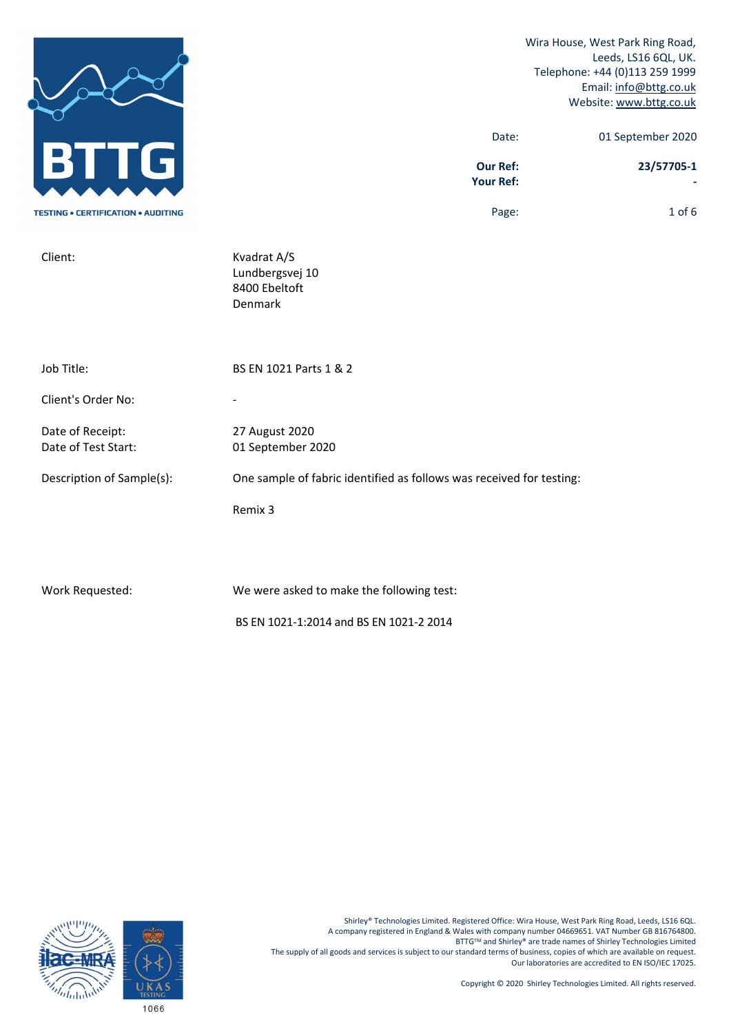|                                           |                                                                      | Wira House, West Park Ring Road,<br>Leeds, LS16 6QL, UK.<br>Telephone: +44 (0)113 259 1999<br>Email: info@bttg.co.uk<br>Website: www.bttg.co.uk |
|-------------------------------------------|----------------------------------------------------------------------|-------------------------------------------------------------------------------------------------------------------------------------------------|
| $\overline{\mathbf{J}}$                   | Date:<br><b>Our Ref:</b>                                             | 01 September 2020<br>23/57705-1                                                                                                                 |
|                                           | <b>Your Ref:</b>                                                     |                                                                                                                                                 |
| <b>TESTING . CERTIFICATION . AUDITING</b> | Page:                                                                | $1$ of $6$                                                                                                                                      |
| Client:                                   | Kvadrat A/S<br>Lundbergsvej 10<br>8400 Ebeltoft<br>Denmark           |                                                                                                                                                 |
| Job Title:                                | BS EN 1021 Parts 1 & 2                                               |                                                                                                                                                 |
| Client's Order No:                        |                                                                      |                                                                                                                                                 |
| Date of Receipt:<br>Date of Test Start:   | 27 August 2020<br>01 September 2020                                  |                                                                                                                                                 |
| Description of Sample(s):                 | One sample of fabric identified as follows was received for testing: |                                                                                                                                                 |
|                                           | Remix 3                                                              |                                                                                                                                                 |
|                                           |                                                                      |                                                                                                                                                 |
|                                           |                                                                      |                                                                                                                                                 |

Work Requested: We were asked to make the following test:

BS EN 1021‐1:2014 and BS EN 1021‐2 2014

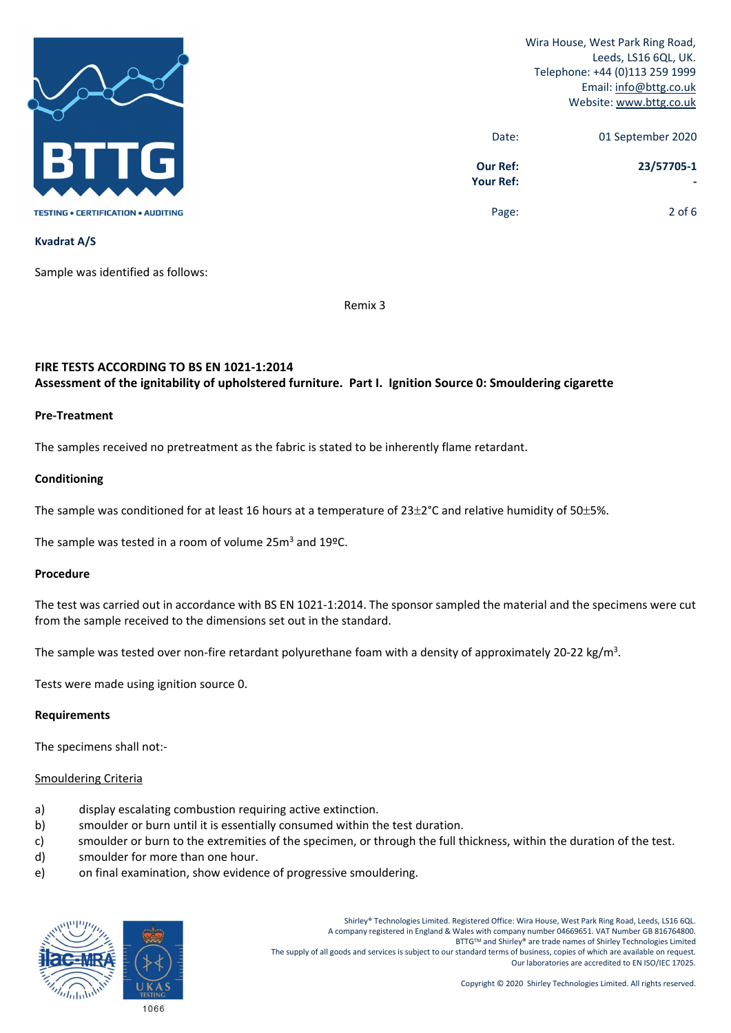

| 01 September 2020 | Date:                        |
|-------------------|------------------------------|
| 23/57705-1        | <b>Our Ref:</b><br>Your Ref: |
| $2$ of 6          | Page:                        |

**Kvadrat A/S**

Sample was identified as follows:

Remix 3

# **FIRE TESTS ACCORDING TO BS EN 1021‐1:2014 Assessment of the ignitability of upholstered furniture. Part I. Ignition Source 0: Smouldering cigarette**

### **Pre‐Treatment**

The samples received no pretreatment as the fabric is stated to be inherently flame retardant.

# **Conditioning**

The sample was conditioned for at least 16 hours at a temperature of  $23\pm2^{\circ}$ C and relative humidity of 50 $\pm5\%$ .

The sample was tested in a room of volume 25m<sup>3</sup> and 19ºC.

### **Procedure**

The test was carried out in accordance with BS EN 1021‐1:2014. The sponsor sampled the material and the specimens were cut from the sample received to the dimensions set out in the standard.

The sample was tested over non-fire retardant polyurethane foam with a density of approximately 20-22 kg/m<sup>3</sup>.

Tests were made using ignition source 0.

### **Requirements**

The specimens shall not:‐

# Smouldering Criteria

- a) display escalating combustion requiring active extinction.
- b) smoulder or burn until it is essentially consumed within the test duration.
- c) smoulder or burn to the extremities of the specimen, or through the full thickness, within the duration of the test.
- d) smoulder for more than one hour.
- e) on final examination, show evidence of progressive smouldering.

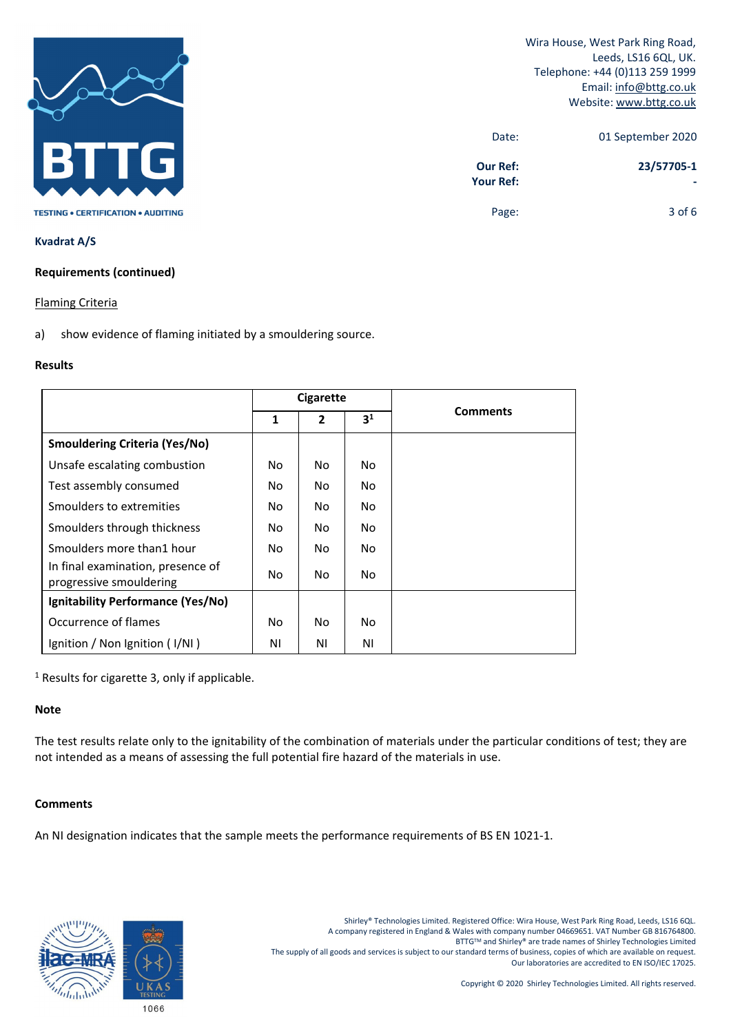

| 01 September 2020 | Date:                               |
|-------------------|-------------------------------------|
| 23/57705-1        | <b>Our Ref:</b><br><b>Your Ref:</b> |
| $3$ of 6          | Page:                               |

### **Kvadrat A/S**

### **Requirements (continued)**

### Flaming Criteria

a) show evidence of flaming initiated by a smouldering source.

# **Results**

|                                                              | <b>Cigarette</b> |                |                |                 |
|--------------------------------------------------------------|------------------|----------------|----------------|-----------------|
|                                                              | 1                | $\overline{2}$ | 3 <sup>1</sup> | <b>Comments</b> |
| <b>Smouldering Criteria (Yes/No)</b>                         |                  |                |                |                 |
| Unsafe escalating combustion                                 | No.              | No.            | No.            |                 |
| Test assembly consumed                                       | No.              | No.            | No.            |                 |
| Smoulders to extremities                                     | No               | No.            | No.            |                 |
| Smoulders through thickness                                  | No               | No             | No.            |                 |
| Smoulders more than 1 hour                                   | No.              | No.            | No.            |                 |
| In final examination, presence of<br>progressive smouldering | No.              | No.            | No.            |                 |
| Ignitability Performance (Yes/No)                            |                  |                |                |                 |
| Occurrence of flames                                         | No.              | No.            | No.            |                 |
| Ignition / Non Ignition (I/NI)                               | ΝI               | ΝI             | ΝI             |                 |

<sup>1</sup> Results for cigarette 3, only if applicable.

# **Note**

The test results relate only to the ignitability of the combination of materials under the particular conditions of test; they are not intended as a means of assessing the full potential fire hazard of the materials in use.

# **Comments**

An NI designation indicates that the sample meets the performance requirements of BS EN 1021-1.

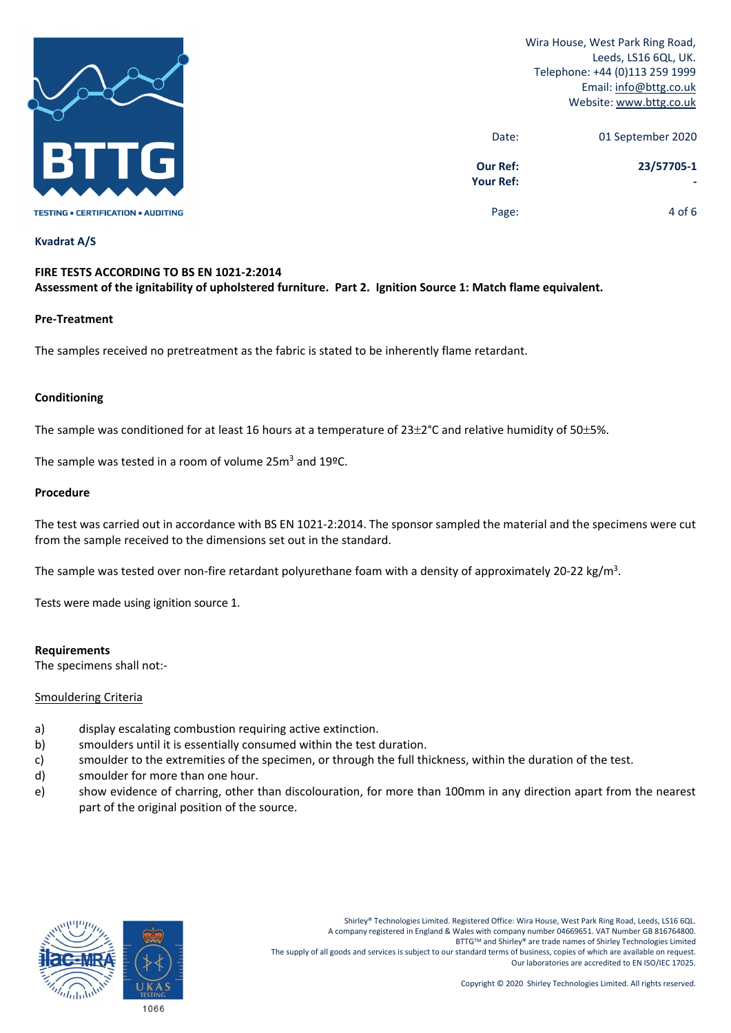

| 01 September 2020 | Date:                               |
|-------------------|-------------------------------------|
| 23/57705-1        | <b>Our Ref:</b><br><b>Your Ref:</b> |
| 4 of 6            | Page:                               |

#### **Kvadrat A/S**

# **FIRE TESTS ACCORDING TO BS EN 1021‐2:2014** Assessment of the ignitability of upholstered furniture. Part 2. Ignition Source 1: Match flame equivalent.

#### **Pre‐Treatment**

The samples received no pretreatment as the fabric is stated to be inherently flame retardant.

# **Conditioning**

The sample was conditioned for at least 16 hours at a temperature of  $23\pm2^{\circ}$ C and relative humidity of 50 $\pm5\%$ .

The sample was tested in a room of volume 25m<sup>3</sup> and 19ºC.

#### **Procedure**

The test was carried out in accordance with BS EN 1021‐2:2014. The sponsor sampled the material and the specimens were cut from the sample received to the dimensions set out in the standard.

The sample was tested over non-fire retardant polyurethane foam with a density of approximately 20-22 kg/m<sup>3</sup>.

Tests were made using ignition source 1.

#### **Requirements**

The specimens shall not:‐

### Smouldering Criteria

- a) display escalating combustion requiring active extinction.
- b) smoulders until it is essentially consumed within the test duration.
- c) smoulder to the extremities of the specimen, or through the full thickness, within the duration of the test.
- d) smoulder for more than one hour.
- e) show evidence of charring, other than discolouration, for more than 100mm in any direction apart from the nearest part of the original position of the source.

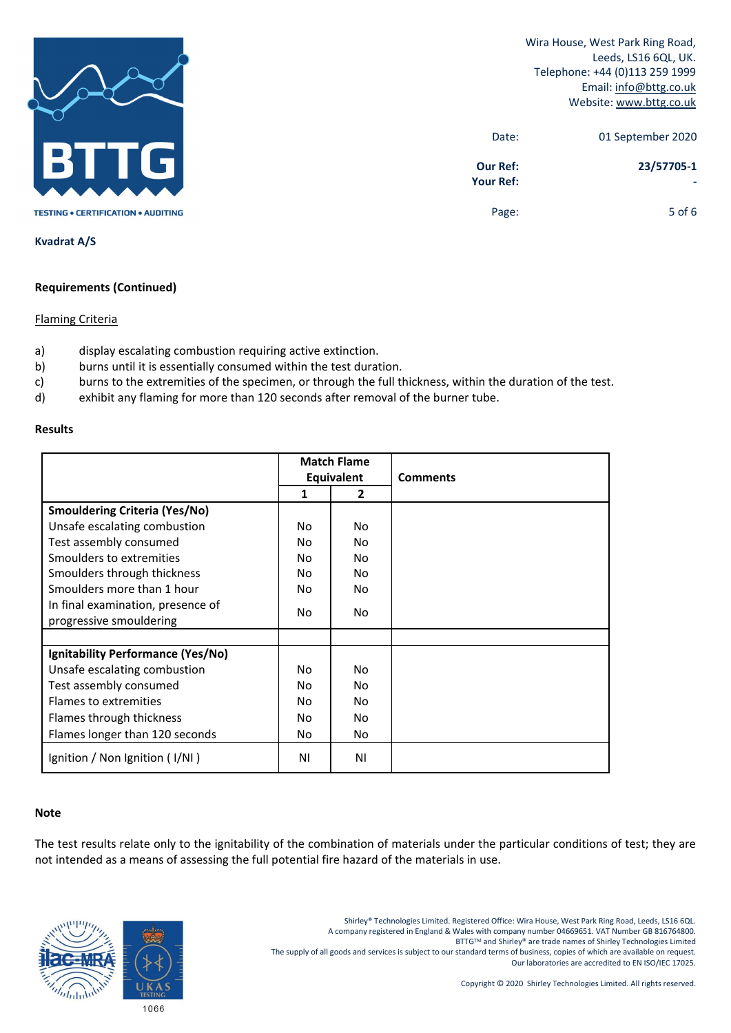

| 01 September 2020 | Date:                               |
|-------------------|-------------------------------------|
| 23/57705-1        | <b>Our Ref:</b><br><b>Your Ref:</b> |
| 5 of $6$          | Page:                               |

**Kvadrat A/S**

# **Requirements (Continued)**

# Flaming Criteria

- a) display escalating combustion requiring active extinction.
- b) burns until it is essentially consumed within the test duration.
- c) burns to the extremities of the specimen, or through the full thickness, within the duration of the test.
- d) exhibit any flaming for more than 120 seconds after removal of the burner tube.

#### **Results**

|                                      | <b>Match Flame</b> |    | <b>Comments</b> |  |
|--------------------------------------|--------------------|----|-----------------|--|
|                                      | Equivalent         |    |                 |  |
|                                      | 1                  | 2  |                 |  |
| <b>Smouldering Criteria (Yes/No)</b> |                    |    |                 |  |
| Unsafe escalating combustion         | No.                | No |                 |  |
| Test assembly consumed               | No.                | No |                 |  |
| Smoulders to extremities             | No                 | No |                 |  |
| Smoulders through thickness          | No                 | No |                 |  |
| Smoulders more than 1 hour           | No                 | No |                 |  |
| In final examination, presence of    | No                 | No |                 |  |
| progressive smouldering              |                    |    |                 |  |
|                                      |                    |    |                 |  |
| Ignitability Performance (Yes/No)    |                    |    |                 |  |
| Unsafe escalating combustion         | No.                | No |                 |  |
| Test assembly consumed               | No                 | No |                 |  |
| Flames to extremities                | No                 | No |                 |  |
| Flames through thickness             | No.                | No |                 |  |
| Flames longer than 120 seconds       | No                 | No |                 |  |
| Ignition / Non Ignition (I/NI)       | ΝI                 | ΝI |                 |  |

### **Note**

The test results relate only to the ignitability of the combination of materials under the particular conditions of test; they are not intended as a means of assessing the full potential fire hazard of the materials in use.